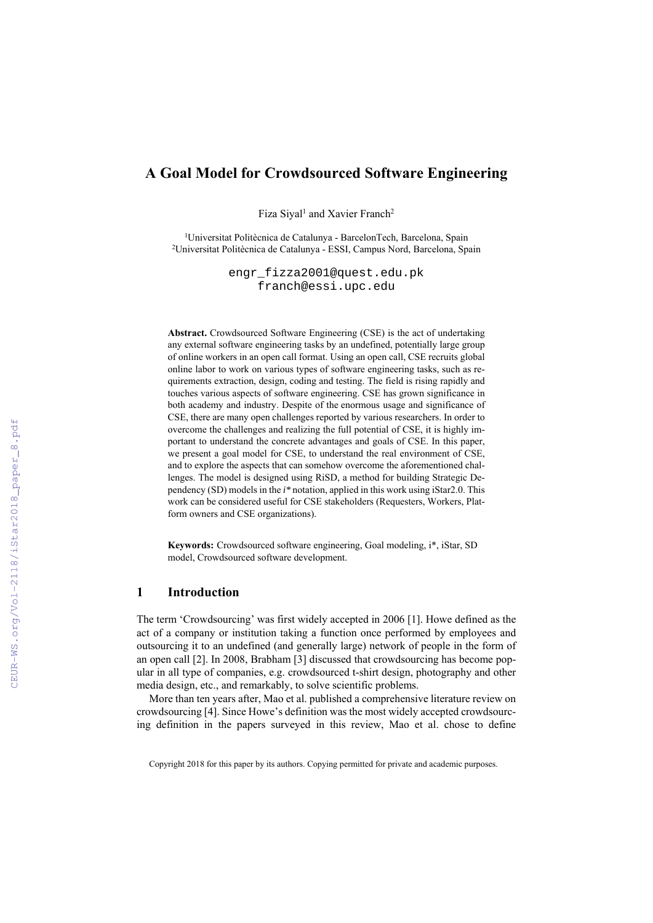# **A Goal Model for Crowdsourced Software Engineering**

Fiza Siyal<sup>1</sup> and Xavier Franch<sup>2</sup>

<sup>1</sup>Universitat Politècnica de Catalunya - BarcelonTech, Barcelona, Spain 2Universitat Politècnica de Catalunya - ESSI, Campus Nord, Barcelona, Spain

> engr\_fizza2001@quest.edu.pk franch@essi.upc.edu

**Abstract.** Crowdsourced Software Engineering (CSE) is the act of undertaking any external software engineering tasks by an undefined, potentially large group of online workers in an open call format. Using an open call, CSE recruits global online labor to work on various types of software engineering tasks, such as requirements extraction, design, coding and testing. The field is rising rapidly and touches various aspects of software engineering. CSE has grown significance in both academy and industry. Despite of the enormous usage and significance of CSE, there are many open challenges reported by various researchers. In order to overcome the challenges and realizing the full potential of CSE, it is highly important to understand the concrete advantages and goals of CSE. In this paper, we present a goal model for CSE, to understand the real environment of CSE, and to explore the aspects that can somehow overcome the aforementioned challenges. The model is designed using RiSD, a method for building Strategic Dependency (SD) models in the *i\** notation, applied in this work using iStar2.0. This work can be considered useful for CSE stakeholders (Requesters, Workers, Platform owners and CSE organizations).

**Keywords:** Crowdsourced software engineering, Goal modeling, i\*, iStar, SD model, Crowdsourced software development.

### **1 Introduction**

The term 'Crowdsourcing' was first widely accepted in 2006 [1]. Howe defined as the act of a company or institution taking a function once performed by employees and outsourcing it to an undefined (and generally large) network of people in the form of an open call [2]. In 2008, Brabham [3] discussed that crowdsourcing has become popular in all type of companies, e.g. crowdsourced t-shirt design, photography and other media design, etc., and remarkably, to solve scientific problems.

More than ten years after, Mao et al. published a comprehensive literature review on crowdsourcing [4]. Since Howe's definition was the most widely accepted crowdsourcing definition in the papers surveyed in this review, Mao et al. chose to define

Copyright 2018 for this paper by its authors. Copying permitted for private and academic purposes.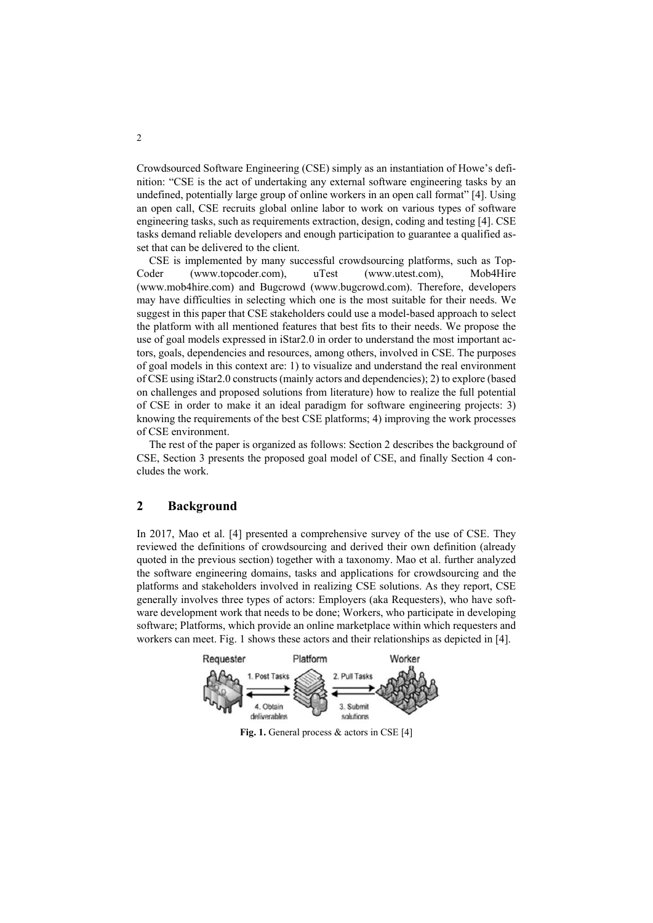Crowdsourced Software Engineering (CSE) simply as an instantiation of Howe's definition: "CSE is the act of undertaking any external software engineering tasks by an undefined, potentially large group of online workers in an open call format" [4]. Using an open call, CSE recruits global online labor to work on various types of software engineering tasks, such as requirements extraction, design, coding and testing [4]. CSE tasks demand reliable developers and enough participation to guarantee a qualified asset that can be delivered to the client.

CSE is implemented by many successful crowdsourcing platforms, such as Top-Coder (www.topcoder.com), uTest (www.utest.com), Mob4Hire (www.mob4hire.com) and Bugcrowd (www.bugcrowd.com). Therefore, developers may have difficulties in selecting which one is the most suitable for their needs. We suggest in this paper that CSE stakeholders could use a model-based approach to select the platform with all mentioned features that best fits to their needs. We propose the use of goal models expressed in iStar2.0 in order to understand the most important actors, goals, dependencies and resources, among others, involved in CSE. The purposes of goal models in this context are: 1) to visualize and understand the real environment of CSE using iStar2.0 constructs (mainly actors and dependencies); 2) to explore (based on challenges and proposed solutions from literature) how to realize the full potential of CSE in order to make it an ideal paradigm for software engineering projects: 3) knowing the requirements of the best CSE platforms; 4) improving the work processes of CSE environment.

The rest of the paper is organized as follows: Section 2 describes the background of CSE, Section 3 presents the proposed goal model of CSE, and finally Section 4 concludes the work.

# **2 Background**

In 2017, Mao et al. [4] presented a comprehensive survey of the use of CSE. They reviewed the definitions of crowdsourcing and derived their own definition (already quoted in the previous section) together with a taxonomy. Mao et al. further analyzed the software engineering domains, tasks and applications for crowdsourcing and the platforms and stakeholders involved in realizing CSE solutions. As they report, CSE generally involves three types of actors: Employers (aka Requesters), who have software development work that needs to be done; Workers, who participate in developing software; Platforms, which provide an online marketplace within which requesters and workers can meet. Fig. 1 shows these actors and their relationships as depicted in [4].

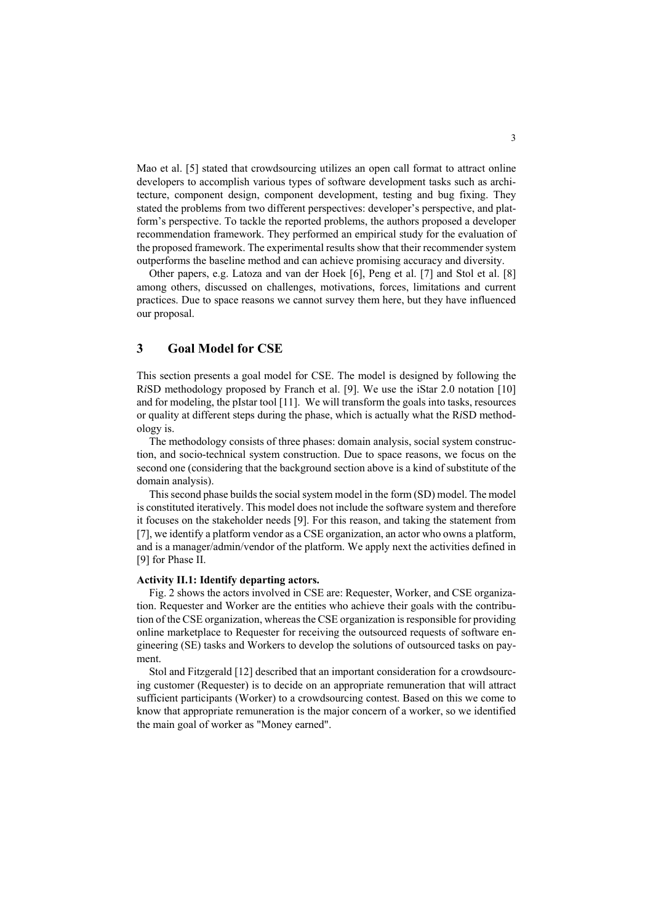Mao et al. [5] stated that crowdsourcing utilizes an open call format to attract online developers to accomplish various types of software development tasks such as architecture, component design, component development, testing and bug fixing. They stated the problems from two different perspectives: developer's perspective, and platform's perspective. To tackle the reported problems, the authors proposed a developer recommendation framework. They performed an empirical study for the evaluation of the proposed framework. The experimental results show that their recommender system outperforms the baseline method and can achieve promising accuracy and diversity.

Other papers, e.g. Latoza and van der Hoek [6], Peng et al. [7] and Stol et al. [8] among others, discussed on challenges, motivations, forces, limitations and current practices. Due to space reasons we cannot survey them here, but they have influenced our proposal.

### **3 Goal Model for CSE**

This section presents a goal model for CSE. The model is designed by following the R*i*SD methodology proposed by Franch et al. [9]. We use the iStar 2.0 notation [10] and for modeling, the pIstar tool [11]. We will transform the goals into tasks, resources or quality at different steps during the phase, which is actually what the R*i*SD methodology is.

The methodology consists of three phases: domain analysis, social system construction, and socio-technical system construction. Due to space reasons, we focus on the second one (considering that the background section above is a kind of substitute of the domain analysis).

This second phase builds the social system model in the form (SD) model. The model is constituted iteratively. This model does not include the software system and therefore it focuses on the stakeholder needs [9]. For this reason, and taking the statement from [7], we identify a platform vendor as a CSE organization, an actor who owns a platform, and is a manager/admin/vendor of the platform. We apply next the activities defined in [9] for Phase II.

#### **Activity II.1: Identify departing actors.**

Fig. 2 shows the actors involved in CSE are: Requester, Worker, and CSE organization. Requester and Worker are the entities who achieve their goals with the contribution of the CSE organization, whereas the CSE organization is responsible for providing online marketplace to Requester for receiving the outsourced requests of software engineering (SE) tasks and Workers to develop the solutions of outsourced tasks on payment.

Stol and Fitzgerald [12] described that an important consideration for a crowdsourcing customer (Requester) is to decide on an appropriate remuneration that will attract sufficient participants (Worker) to a crowdsourcing contest. Based on this we come to know that appropriate remuneration is the major concern of a worker, so we identified the main goal of worker as "Money earned".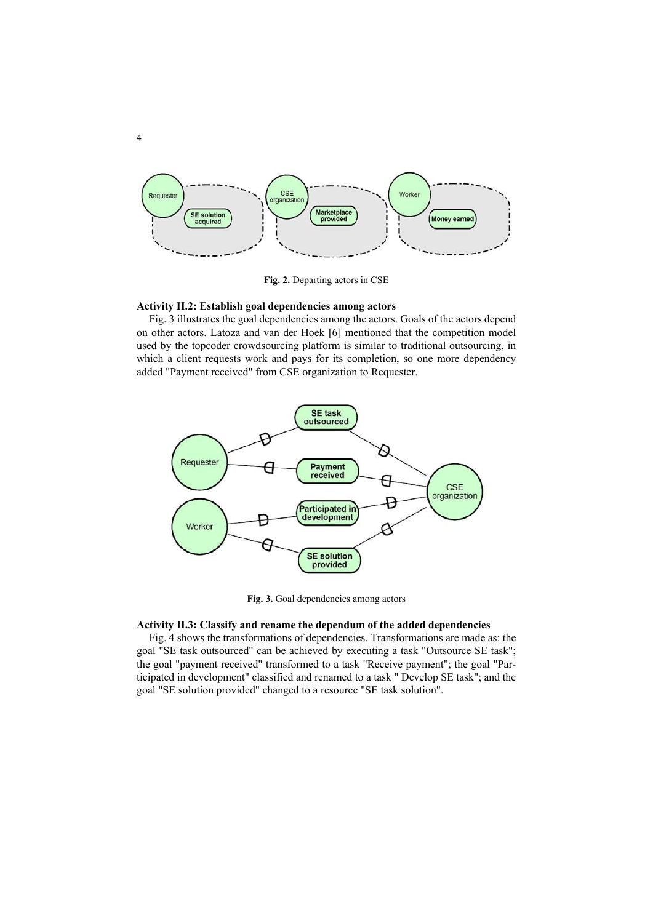

**Fig. 2.** Departing actors in CSE

### **Activity II.2: Establish goal dependencies among actors**

Fig. 3 illustrates the goal dependencies among the actors. Goals of the actors depend on other actors. Latoza and van der Hoek [6] mentioned that the competition model used by the topcoder crowdsourcing platform is similar to traditional outsourcing, in which a client requests work and pays for its completion, so one more dependency added "Payment received" from CSE organization to Requester.



**Fig. 3.** Goal dependencies among actors

#### **Activity II.3: Classify and rename the dependum of the added dependencies**

Fig. 4 shows the transformations of dependencies. Transformations are made as: the goal "SE task outsourced" can be achieved by executing a task "Outsource SE task"; the goal "payment received" transformed to a task "Receive payment"; the goal "Participated in development" classified and renamed to a task " Develop SE task"; and the goal "SE solution provided" changed to a resource "SE task solution".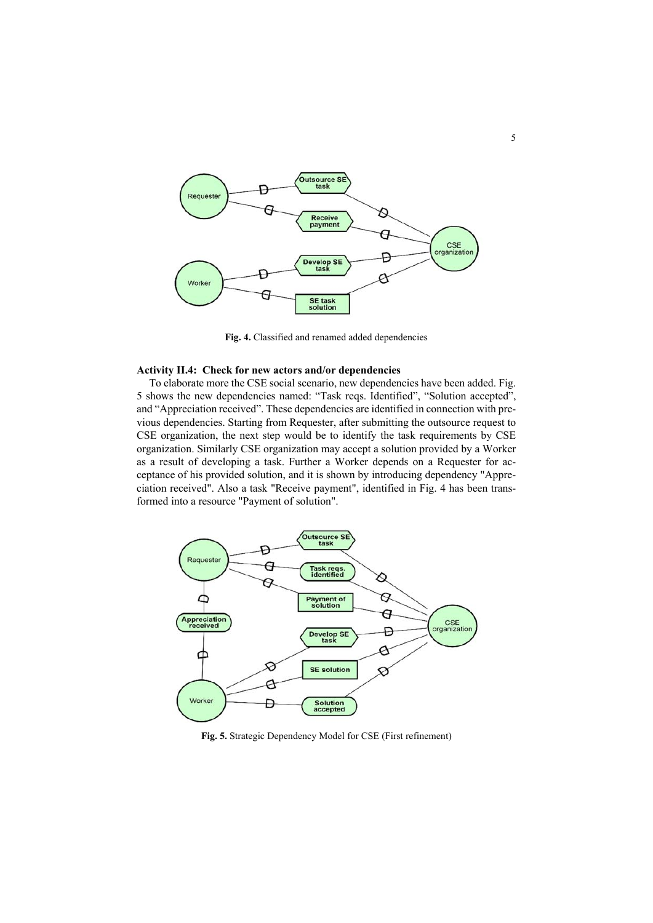

**Fig. 4.** Classified and renamed added dependencies

#### **Activity II.4: Check for new actors and/or dependencies**

To elaborate more the CSE social scenario, new dependencies have been added. Fig. 5 shows the new dependencies named: "Task reqs. Identified", "Solution accepted", and "Appreciation received". These dependencies are identified in connection with previous dependencies. Starting from Requester, after submitting the outsource request to CSE organization, the next step would be to identify the task requirements by CSE organization. Similarly CSE organization may accept a solution provided by a Worker as a result of developing a task. Further a Worker depends on a Requester for acceptance of his provided solution, and it is shown by introducing dependency "Appreciation received". Also a task "Receive payment", identified in Fig. 4 has been transformed into a resource "Payment of solution".



**Fig. 5.** Strategic Dependency Model for CSE (First refinement)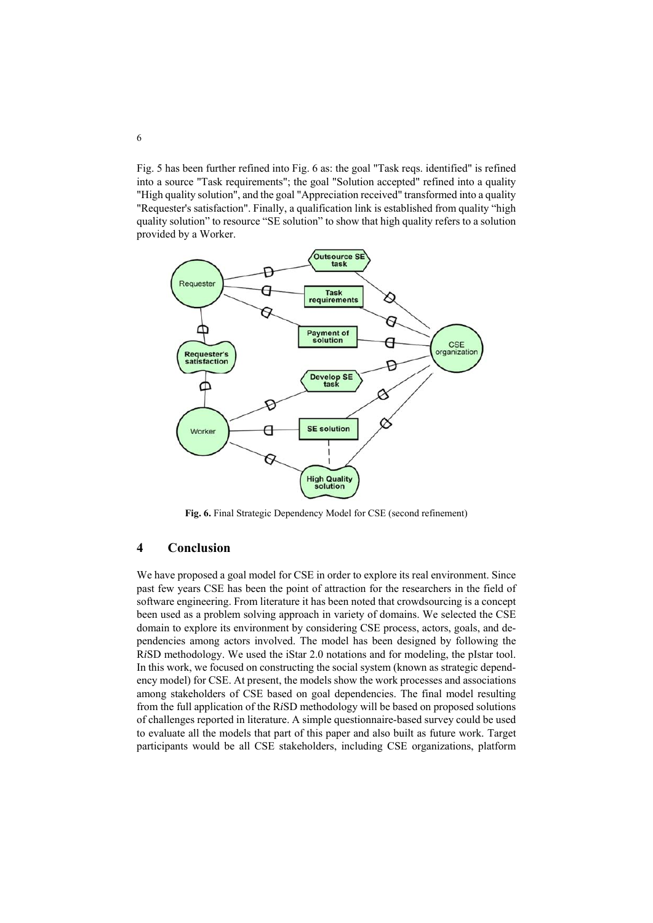Fig. 5 has been further refined into Fig. 6 as: the goal "Task reqs. identified" is refined into a source "Task requirements"; the goal "Solution accepted" refined into a quality "High quality solution", and the goal "Appreciation received" transformed into a quality "Requester's satisfaction". Finally, a qualification link is established from quality "high quality solution" to resource "SE solution" to show that high quality refers to a solution provided by a Worker.



**Fig. 6.** Final Strategic Dependency Model for CSE (second refinement)

# **4 Conclusion**

We have proposed a goal model for CSE in order to explore its real environment. Since past few years CSE has been the point of attraction for the researchers in the field of software engineering. From literature it has been noted that crowdsourcing is a concept been used as a problem solving approach in variety of domains. We selected the CSE domain to explore its environment by considering CSE process, actors, goals, and dependencies among actors involved. The model has been designed by following the R*i*SD methodology. We used the iStar 2.0 notations and for modeling, the pIstar tool. In this work, we focused on constructing the social system (known as strategic dependency model) for CSE. At present, the models show the work processes and associations among stakeholders of CSE based on goal dependencies. The final model resulting from the full application of the R*i*SD methodology will be based on proposed solutions of challenges reported in literature. A simple questionnaire-based survey could be used to evaluate all the models that part of this paper and also built as future work. Target participants would be all CSE stakeholders, including CSE organizations, platform